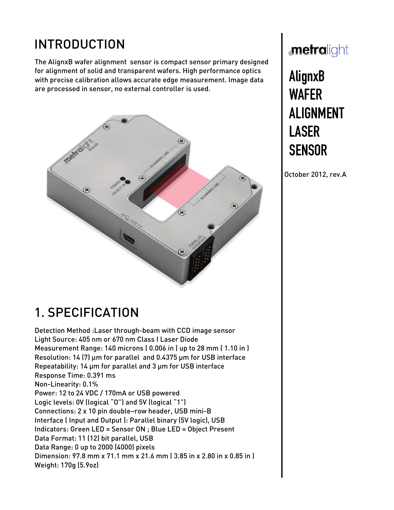# INTRODUCTION

The AlignxB wafer alignment sensor is compact sensor primary designed for alignment of solid and transparent wafers. High performance optics with precise calibration allows accurate edge measurement. Image data are processed in sensor, no external controller is used.



## metralight

# AlignxB<br>WAFER **ALIGNMENT** LASER SENSOR SENSOR

October 2012, rev.A

## 1. SPECIFICATION

Detection Method :Laser through-beam with CCD image sensor Light Source: 405 nm or 670 nm Class I Laser Diode Measurement Range: 140 microns ( 0.006 in ) up to 28 mm ( 1.10 in ) Resolution: 14 (7) μm for parallel and 0.4375 μm for USB interface Repeatability: 14 μm for parallel and 3 μm for USB interface Response Time: 0.391 ms Non-Linearity: 0.1% Power: 12 to 24 VDC / 170mA or USB powered Logic levels: 0V (logical "O") and 5V (logical "1") Connections: 2 x 10 pin double–row header, USB mini-B Interface ( Input and Output ): Parallel binary (5V logic), USB Indicators: Green LED = Sensor ON ; Blue LED = Object Present Data Format: 11 (12) bit parallel, USB Data Range: 0 up to 2000 (4000) pixels Dimension: 97.8 mm x 71.1 mm x 21.6 mm ( 3.85 in x 2.80 in x 0.85 in ) Weight: 170g (5.9oz)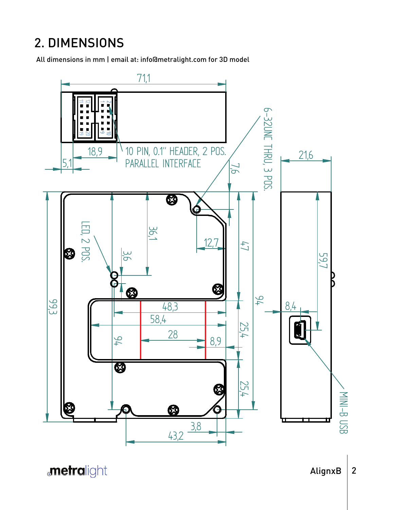## 2. DIMENSIONS

All dimensions in mm | email at: info@metralight.com for 3D model



**metralight**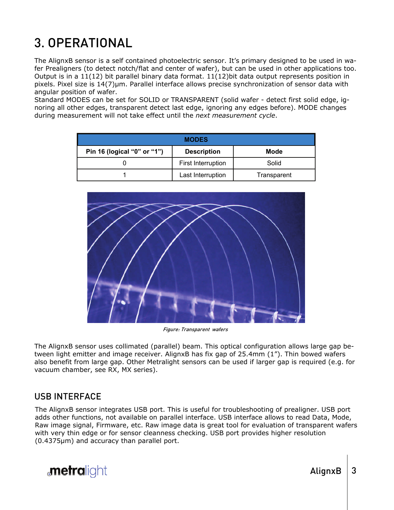# 3. OPERATIONAL

The AlignxB sensor is a self contained photoelectric sensor. It's primary designed to be used in wafer Prealigners (to detect notch/flat and center of wafer), but can be used in other applications too. Output is in a 11(12) bit parallel binary data format. 11(12)bit data output represents position in pixels. Pixel size is 14(7)µm. Parallel interface allows precise synchronization of sensor data with angular position of wafer.

Standard MODES can be set for SOLID or TRANSPARENT (solid wafer - detect first solid edge, ignoring all other edges, transparent detect last edge, ignoring any edges before). MODE changes during measurement will not take effect until the *next measurement cycle*.

| <b>MODES</b>                |                    |             |  |  |  |  |  |
|-----------------------------|--------------------|-------------|--|--|--|--|--|
| Pin 16 (logical "0" or "1") | <b>Description</b> | Mode        |  |  |  |  |  |
|                             | First Interruption | Solid       |  |  |  |  |  |
|                             | Last Interruption  | Transparent |  |  |  |  |  |



Figure: Transparent wafers

The AlignxB sensor uses collimated (parallel) beam. This optical configuration allows large gap between light emitter and image receiver. AlignxB has fix gap of 25.4mm (1"). Thin bowed wafers also benefit from large gap. Other Metralight sensors can be used if larger gap is required (e.g. for vacuum chamber, see RX, MX series).

### USB INTERFACE

The AlignxB sensor integrates USB port. This is useful for troubleshooting of prealigner. USB port adds other functions, not available on parallel interface. USB interface allows to read Data, Mode, Raw image signal, Firmware, etc. Raw image data is great tool for evaluation of transparent wafers with very thin edge or for sensor cleanness checking. USB port provides higher resolution (0.4375µm) and accuracy than parallel port.

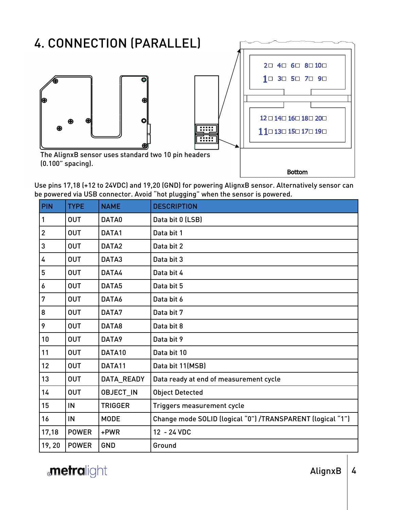

Use pins 17,18 (+12 to 24VDC) and 19,20 (GND) for powering AlignxB sensor. Alternatively sensor can be powered via USB connector. Avoid "hot plugging" when the sensor is powered.

| <b>PIN</b>     | <b>TYPE</b>  | <b>NAME</b>      | <b>DESCRIPTION</b>                                         |
|----------------|--------------|------------------|------------------------------------------------------------|
| 1              | <b>OUT</b>   | DATA0            | Data bit 0 (LSB)                                           |
| $\overline{2}$ | <b>OUT</b>   | DATA1            | Data bit 1                                                 |
| 3              | <b>OUT</b>   | DATA2            | Data bit 2                                                 |
| 4              | <b>OUT</b>   | DATA3            | Data bit 3                                                 |
| 5              | <b>OUT</b>   | DATA4            | Data bit 4                                                 |
| 6              | <b>OUT</b>   | DATA5            | Data bit 5                                                 |
| 7              | <b>OUT</b>   | DATA6            | Data bit 6                                                 |
| 8              | <b>OUT</b>   | DATA7            | Data bit 7                                                 |
| 9              | <b>OUT</b>   | DATA8            | Data bit 8                                                 |
| 10             | <b>OUT</b>   | DATA9            | Data bit 9                                                 |
| 11             | <b>OUT</b>   | DATA10           | Data bit 10                                                |
| 12             | <b>OUT</b>   | DATA11           | Data bit 11(MSB)                                           |
| 13             | <b>OUT</b>   | DATA_READY       | Data ready at end of measurement cycle                     |
| 14             | <b>OUT</b>   | <b>OBJECT_IN</b> | <b>Object Detected</b>                                     |
| 15             | IN           | <b>TRIGGER</b>   | Triggers measurement cycle                                 |
| 16             | IN           | <b>MODE</b>      | Change mode SOLID (logical "0") /TRANSPARENT (logical "1") |
| 17,18          | <b>POWER</b> | +PWR             | 12 - 24 VDC                                                |
| 19,20          | <b>POWER</b> | <b>GND</b>       | Ground                                                     |

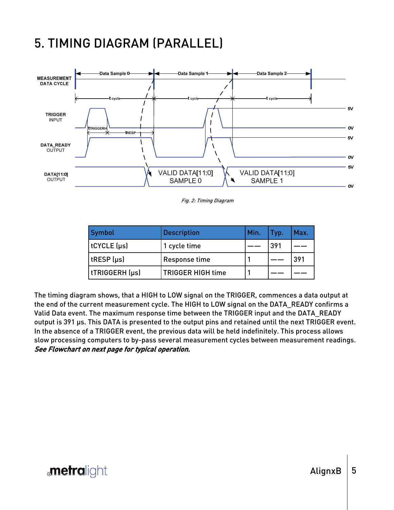### 5. TIMING DIAGRAM (PARALLEL)



Fig. 2: Timing Diagram

| Symbol         | <b>Description</b>       | Min. | Typ. | Max. |
|----------------|--------------------------|------|------|------|
| tCYCLE (µs)    | 1 cycle time             |      | 391  |      |
| tRESP (µs)     | <b>Response time</b>     |      |      | 391  |
| tTRIGGERH (µs) | <b>TRIGGER HIGH time</b> |      |      |      |

The timing diagram shows, that a HIGH to LOW signal on the TRIGGER, commences a data output at the end of the current measurement cycle. The HIGH to LOW signal on the DATA\_READY confirms a Valid Data event. The maximum response time between the TRIGGER input and the DATA\_READY output is 391 μs. This DATA is presented to the output pins and retained until the next TRIGGER event. In the absence of a TRIGGER event, the previous data will be held indefinitely. This process allows slow processing computers to by-pass several measurement cycles between measurement readings. See Flowchart on next page for typical operation.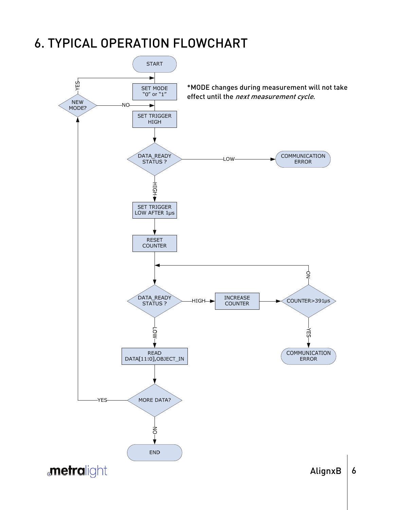### 6. TYPICAL OPERATION FLOWCHART

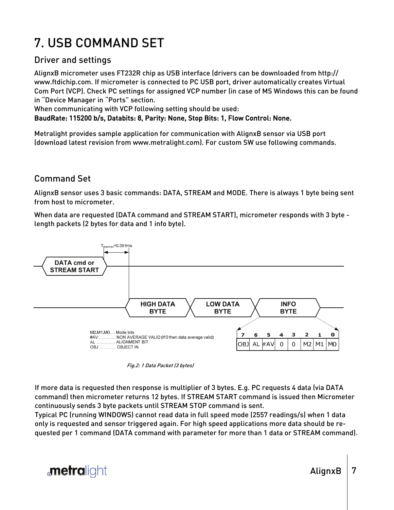# 7. USB COMMAND SET

### Driver and settings

AlignxB micrometer uses FT232R chip as USB interface (drivers can be downloaded from http:// www.ftdichip.com. If micrometer is connected to PC USB port, driver automatically creates Virtual Com Port (VCP). Check PC settings for assigned VCP number (in case of MS Windows this can be found in "Device Manager in "Ports" section.

When communicating with VCP following setting should be used:

BaudRate: 115200 b/s, Databits: 8, Parity: None, Stop Bits: 1, Flow Control: None.

Metralight provides sample application for communication with AlignxB sensor via USB port (download latest revision from www.metralight.com). For custom SW use following commands.

### Command Set

AlignxB sensor uses 3 basic commands: DATA, STREAM and MODE. There is always 1 byte being sent from host to micrometer.

When data are requested (DATA command and STREAM START), micrometer responds with 3 byte length packets (2 bytes for data and 1 info byte).



Fig.2: 1 Data Packet (3 bytes)

If more data is requested then response is multiplier of 3 bytes. E.g. PC requests 4 data (via DATA command) then micrometer returns 12 bytes. If STREAM START command is issued then Micrometer continuously sends 3 byte packets until STREAM STOP command is sent.

Typical PC (running WINDOWS) cannot read data in full speed mode (2557 readings/s) when 1 data only is requested and sensor triggered again. For high speed applications more data should be requested per 1 command (DATA command with parameter for more than 1 data or STREAM command).



AlignxB  $|7$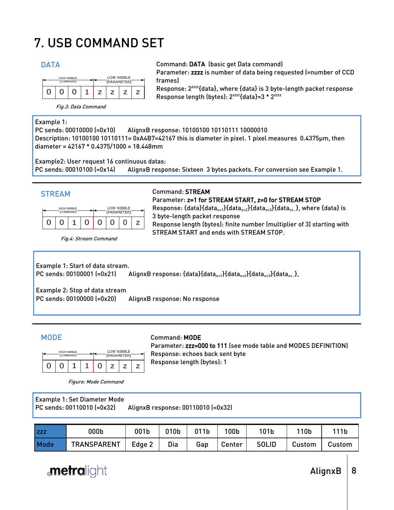# 7. USB COMMAND SET



DATA Command: DATA (basic get Data command) Parameter: zzzz is number of data being requested (=number of CCD frames) Response: 2zzzz{data}, where {data} is 3 byte-length packet response

Response length (bytes): 2<sup>zzzz</sup>{data}=3 \* 2<sup>zzzz</sup>

Fig.3: Data Command

### Example 1:

PC sends: 00010000 (=0x10) AlignxB response: 10100100 10110111 10000010 Description: 10100100 10110111= 0xA4B7=42167 this is diameter in pixel. 1 pixel measures 0.4375μm, then diameter = 42167 \* 0.4375/1000 = 18.448mm

Example2: User request 16 continuous datas:

PC sends: 00010100 (=0x14) AlignxB response: Sixteen 3 bytes packets. For conversion see Example 1.

| <b>HIGH NIBBLE</b> |  |  |  | LOW NIBBLE  |  |  |  |
|--------------------|--|--|--|-------------|--|--|--|
| (COMMAND)          |  |  |  | (PARAMETER) |  |  |  |
| Ω                  |  |  |  |             |  |  |  |

Fig.4: Stream Command

### STREAM Command: STREAM

Parameter: z=1 for STREAM START, z=0 for STREAM STOP Response: {data}{data<sub>n+1</sub>}{data<sub>n+2</sub>}{data<sub>n+3</sub>}{data<sub>n+.</sub>}, where {data} is 3 byte-length packet response Response length (bytes): finite number (multiplier of 3) starting with STREAM START and ends with STREAM STOP.

Example 1: Start of data stream. PC sends: 00100001 (=0x21) AlignxB response:  $\{data\}$ {data<sub>n+1</sub>}{data<sub>n+2</sub>}{data<sub>n+3</sub>}{data<sub>n+3</sub>}}

Example 2: Stop of data stream PC sends: 00100000 (=0x20) AlignxB response: No response



### MODE Command: MODE

Parameter: zzz=000 to 111 (see mode table and MODES DEFINITION) Response: echoes back sent byte Response length (bytes): 1

Figure: Mode Command

| Example 1: Set Diameter Mode |                                    |
|------------------------------|------------------------------------|
| PC sends: 00110010 (=0x32)   | AlignxB response: 00110010 (=0x32) |

| l zzz | 000b               | 001b   | 010b | 011b | '00 <sub>b</sub> | 101b         | 110b   | 111b   |
|-------|--------------------|--------|------|------|------------------|--------------|--------|--------|
| Mode  | <b>TRANSPARENT</b> | Edge 2 | Dia  | Gap  | Center           | <b>SOLID</b> | Custom | Custom |



AlignxB  $|8$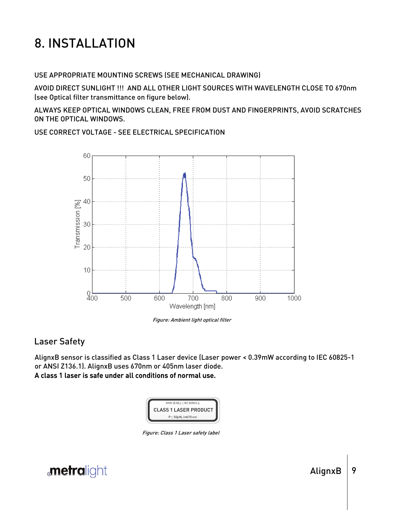# 8. INSTALLATION

USE APPROPRIATE MOUNTING SCREWS (SEE MECHANICAL DRAWING)

AVOID DIRECT SUNLIGHT !!! AND ALL OTHER LIGHT SOURCES WITH WAVELENGTH CLOSE TO 670nm (see Optical filter transmittance on figure below).

ALWAYS KEEP OPTICAL WINDOWS CLEAN, FREE FROM DUST AND FINGERPRINTS, AVOID SCRATCHES ON THE OPTICAL WINDOWS.

USE CORRECT VOLTAGE - SEE ELECTRICAL SPECIFICATION



Figure: Ambient light optical filter

### Laser Safety

AlignxB sensor is classified as Class 1 Laser device (Laser power < 0.39mW according to IEC 60825-1 or ANSI Z136.1). AlignxB uses 670nm or 405nm laser diode.

A class 1 laser is safe under all conditions of normal use.



Figure: Class 1 Laser safety label

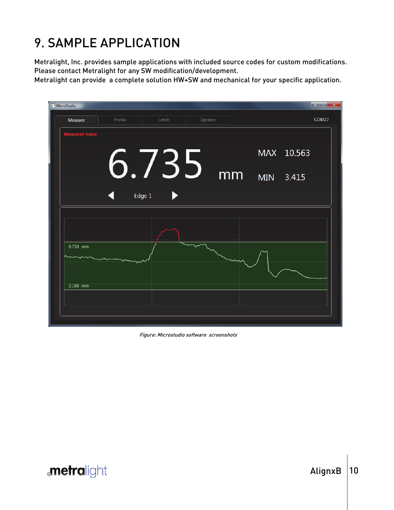# 9. SAMPLE APPLICATION

Metralight, Inc. provides sample applications with included source codes for custom modifications. Please contact Metralight for any SW modification/development.

Metralight can provide a complete solution HW+SW and mechanical for your specific application.

| MicroStudio           |         |        |        |         |    |            | $\left\  \cdot - \right\  \cdot - X$ |
|-----------------------|---------|--------|--------|---------|----|------------|--------------------------------------|
| Measure               | Profile |        | Limits | Options |    |            | COM27                                |
| <b>Measured Value</b> |         |        |        |         |    |            |                                      |
|                       |         |        |        |         |    | MAX 10.563 |                                      |
|                       |         |        |        | 6.735   | mm | MIN 3.415  |                                      |
|                       |         | Edge 1 |        |         |    |            |                                      |
|                       |         |        |        |         |    |            |                                      |
|                       |         |        |        |         |    |            |                                      |
| 8.750 mm              |         |        |        |         |    |            |                                      |
|                       |         |        |        |         |    |            |                                      |
| 2.188 mm              |         |        |        |         |    |            |                                      |
|                       |         |        |        |         |    |            |                                      |
|                       |         |        |        |         |    |            |                                      |
|                       |         |        |        |         |    |            |                                      |

Figure: Microstudio software screenshots

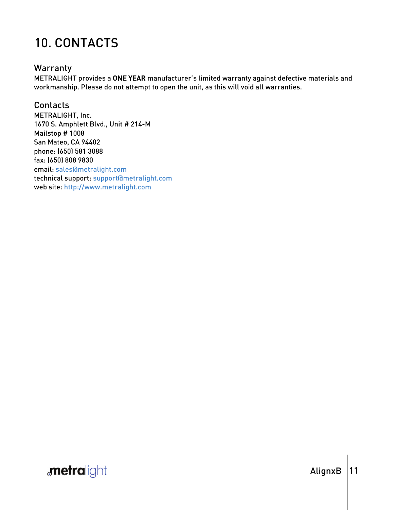### 10. CONTACTS

### **Warranty**

METRALIGHT provides a ONE YEAR manufacturer's limited warranty against defective materials and workmanship. Please do not attempt to open the unit, as this will void all warranties.

### Contacts

METRALIGHT, Inc. 1670 S. Amphlett Blvd., Unit # 214-M Mailstop # 1008 San Mateo, CA 94402 phone: (650) 581 3088 fax: (650) 808 9830 email: sales@metralight.com technical support: support@metralight.com web site: http://www.metralight.com